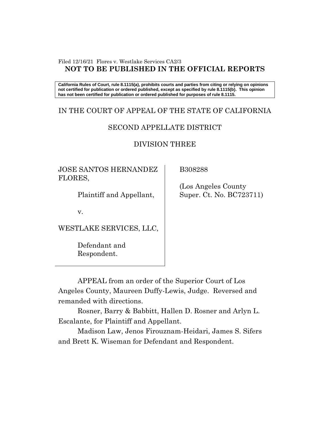#### Filed 12/16/21 Flores v. Westlake Services CA2/3 **NOT TO BE PUBLISHED IN THE OFFICIAL REPORTS**

**California Rules of Court, rule 8.1115(a), prohibits courts and parties from citing or relying on opinions not certified for publication or ordered published, except as specified by rule 8.1115(b). This opinion has not been certified for publication or ordered published for purposes of rule 8.1115.**

## IN THE COURT OF APPEAL OF THE STATE OF CALIFORNIA

## SECOND APPELLATE DISTRICT

# DIVISION THREE

JOSE SANTOS HERNANDEZ FLORES,

Plaintiff and Appellant,

v.

WESTLAKE SERVICES, LLC,

Defendant and Respondent.

B308288

 (Los Angeles County Super. Ct. No. BC723711)

APPEAL from an order of the Superior Court of Los Angeles County, Maureen Duffy-Lewis, Judge. Reversed and remanded with directions.

Rosner, Barry & Babbitt, Hallen D. Rosner and Arlyn L. Escalante, for Plaintiff and Appellant.

Madison Law, Jenos Firouznam-Heidari, James S. Sifers and Brett K. Wiseman for Defendant and Respondent.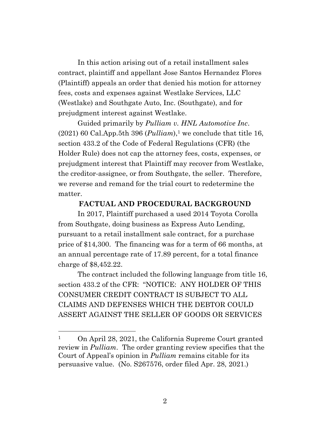In this action arising out of a retail installment sales contract, plaintiff and appellant Jose Santos Hernandez Flores (Plaintiff) appeals an order that denied his motion for attorney fees, costs and expenses against Westlake Services, LLC (Westlake) and Southgate Auto, Inc. (Southgate), and for prejudgment interest against Westlake.

Guided primarily by *Pulliam v. HNL Automotive Inc*.  $(2021)$  60 Cal.App.5th 396 (*Pulliam*),<sup>1</sup> we conclude that title 16, section 433.2 of the Code of Federal Regulations (CFR) (the Holder Rule) does not cap the attorney fees, costs, expenses, or prejudgment interest that Plaintiff may recover from Westlake, the creditor-assignee, or from Southgate, the seller. Therefore, we reverse and remand for the trial court to redetermine the matter.

#### **FACTUAL AND PROCEDURAL BACKGROUND**

In 2017, Plaintiff purchased a used 2014 Toyota Corolla from Southgate, doing business as Express Auto Lending, pursuant to a retail installment sale contract, for a purchase price of \$14,300. The financing was for a term of 66 months, at an annual percentage rate of 17.89 percent, for a total finance charge of \$8,452.22.

The contract included the following language from title 16, section 433.2 of the CFR: "NOTICE: ANY HOLDER OF THIS CONSUMER CREDIT CONTRACT IS SUBJECT TO ALL CLAIMS AND DEFENSES WHICH THE DEBTOR COULD ASSERT AGAINST THE SELLER OF GOODS OR SERVICES

<sup>1</sup> On April 28, 2021, the California Supreme Court granted review in *Pulliam*. The order granting review specifies that the Court of Appeal's opinion in *Pulliam* remains citable for its persuasive value. (No. S267576, order filed Apr. 28, 2021.)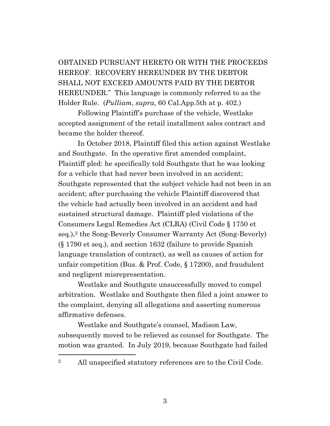OBTAINED PURSUANT HERETO OR WITH THE PROCEEDS HEREOF. RECOVERY HEREUNDER BY THE DEBTOR SHALL NOT EXCEED AMOUNTS PAID BY THE DEBTOR HEREUNDER." This language is commonly referred to as the Holder Rule. (*Pulliam*, *supra*, 60 Cal.App.5th at p. 402.)

Following Plaintiff's purchase of the vehicle, Westlake accepted assignment of the retail installment sales contract and became the holder thereof.

In October 2018, Plaintiff filed this action against Westlake and Southgate. In the operative first amended complaint, Plaintiff pled: he specifically told Southgate that he was looking for a vehicle that had never been involved in an accident; Southgate represented that the subject vehicle had not been in an accident; after purchasing the vehicle Plaintiff discovered that the vehicle had actually been involved in an accident and had sustained structural damage. Plaintiff pled violations of the Consumers Legal Remedies Act (CLRA) (Civil Code § 1750 et seq.), <sup>2</sup> the Song-Beverly Consumer Warranty Act (Song-Beverly) (§ 1790 et seq.), and section 1632 (failure to provide Spanish language translation of contract), as well as causes of action for unfair competition (Bus. & Prof. Code, § 17200), and fraudulent and negligent misrepresentation.

Westlake and Southgate unsuccessfully moved to compel arbitration. Westlake and Southgate then filed a joint answer to the complaint, denying all allegations and asserting numerous affirmative defenses.

Westlake and Southgate's counsel, Madison Law, subsequently moved to be relieved as counsel for Southgate. The motion was granted. In July 2019, because Southgate had failed

<sup>2</sup> All unspecified statutory references are to the Civil Code.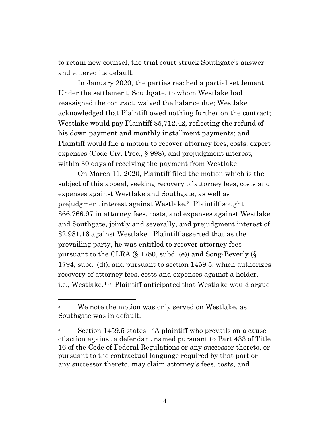to retain new counsel, the trial court struck Southgate's answer and entered its default.

In January 2020, the parties reached a partial settlement. Under the settlement, Southgate, to whom Westlake had reassigned the contract, waived the balance due; Westlake acknowledged that Plaintiff owed nothing further on the contract; Westlake would pay Plaintiff \$5,712.42, reflecting the refund of his down payment and monthly installment payments; and Plaintiff would file a motion to recover attorney fees, costs, expert expenses (Code Civ. Proc., § 998), and prejudgment interest, within 30 days of receiving the payment from Westlake.

On March 11, 2020, Plaintiff filed the motion which is the subject of this appeal, seeking recovery of attorney fees, costs and expenses against Westlake and Southgate, as well as prejudgment interest against Westlake.3 Plaintiff sought \$66,766.97 in attorney fees, costs, and expenses against Westlake and Southgate, jointly and severally, and prejudgment interest of \$2,981.16 against Westlake. Plaintiff asserted that as the prevailing party, he was entitled to recover attorney fees pursuant to the CLRA (§ 1780, subd. (e)) and Song-Beverly (§ 1794, subd. (d)), and pursuant to section 1459.5, which authorizes recovery of attorney fees, costs and expenses against a holder, i.e., Westlake.<sup>4</sup> <sup>5</sup> Plaintiff anticipated that Westlake would argue

<sup>3</sup> We note the motion was only served on Westlake, as Southgate was in default.

<sup>&</sup>lt;sup>4</sup> Section 1459.5 states: "A plaintiff who prevails on a cause of action against a defendant named pursuant to Part 433 of Title 16 of the Code of Federal Regulations or any successor thereto, or pursuant to the contractual language required by that part or any successor thereto, may claim attorney's fees, costs, and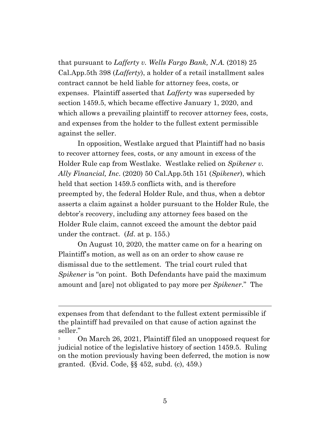that pursuant to *Lafferty v. Wells Fargo Bank, N.A.* (2018) 25 Cal.App.5th 398 (*Lafferty*), a holder of a retail installment sales contract cannot be held liable for attorney fees, costs, or expenses. Plaintiff asserted that *Lafferty* was superseded by section 1459.5, which became effective January 1, 2020, and which allows a prevailing plaintiff to recover attorney fees, costs, and expenses from the holder to the fullest extent permissible against the seller.

In opposition, Westlake argued that Plaintiff had no basis to recover attorney fees, costs, or any amount in excess of the Holder Rule cap from Westlake. Westlake relied on *Spikener v. Ally Financial, Inc*. (2020) 50 Cal.App.5th 151 (*Spikener*), which held that section 1459.5 conflicts with, and is therefore preempted by, the federal Holder Rule, and thus, when a debtor asserts a claim against a holder pursuant to the Holder Rule, the debtor's recovery, including any attorney fees based on the Holder Rule claim, cannot exceed the amount the debtor paid under the contract. (*Id*. at p. 155.)

On August 10, 2020, the matter came on for a hearing on Plaintiff's motion, as well as on an order to show cause re dismissal due to the settlement. The trial court ruled that *Spikener* is "on point. Both Defendants have paid the maximum amount and [are] not obligated to pay more per *Spikener*." The

expenses from that defendant to the fullest extent permissible if the plaintiff had prevailed on that cause of action against the seller."

<sup>&</sup>lt;sup>5</sup> On March 26, 2021, Plaintiff filed an unopposed request for judicial notice of the legislative history of section 1459.5. Ruling on the motion previously having been deferred, the motion is now granted. (Evid. Code, §§ 452, subd. (c), 459.)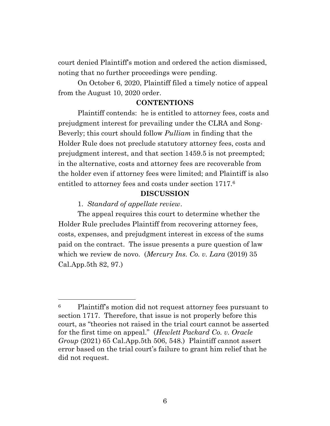court denied Plaintiff's motion and ordered the action dismissed, noting that no further proceedings were pending.

On October 6, 2020, Plaintiff filed a timely notice of appeal from the August 10, 2020 order.

#### **CONTENTIONS**

Plaintiff contends: he is entitled to attorney fees, costs and prejudgment interest for prevailing under the CLRA and Song-Beverly; this court should follow *Pulliam* in finding that the Holder Rule does not preclude statutory attorney fees, costs and prejudgment interest, and that section 1459.5 is not preempted; in the alternative, costs and attorney fees are recoverable from the holder even if attorney fees were limited; and Plaintiff is also entitled to attorney fees and costs under section 1717.<sup>6</sup>

#### **DISCUSSION**

1. *Standard of appellate review*.

The appeal requires this court to determine whether the Holder Rule precludes Plaintiff from recovering attorney fees, costs, expenses, and prejudgment interest in excess of the sums paid on the contract. The issue presents a pure question of law which we review de novo. (*Mercury Ins. Co. v. Lara* (2019) 35 Cal.App.5th 82, 97.)

<sup>6</sup> Plaintiff's motion did not request attorney fees pursuant to section 1717. Therefore, that issue is not properly before this court, as "theories not raised in the trial court cannot be asserted for the first time on appeal." (*Hewlett Packard Co. v. Oracle Group* (2021) 65 Cal.App.5th 506, 548.) Plaintiff cannot assert error based on the trial court's failure to grant him relief that he did not request.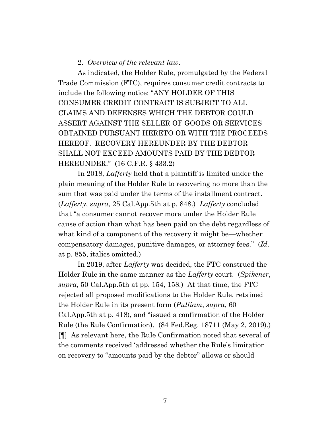#### 2. *Overview of the relevant law*.

As indicated, the Holder Rule, promulgated by the Federal Trade Commission (FTC), requires consumer credit contracts to include the following notice: "ANY HOLDER OF THIS CONSUMER CREDIT CONTRACT IS SUBJECT TO ALL CLAIMS AND DEFENSES WHICH THE DEBTOR COULD ASSERT AGAINST THE SELLER OF GOODS OR SERVICES OBTAINED PURSUANT HERETO OR WITH THE PROCEEDS HEREOF. RECOVERY HEREUNDER BY THE DEBTOR SHALL NOT EXCEED AMOUNTS PAID BY THE DEBTOR HEREUNDER." (16 C.F.R. § 433.2)

In 2018, *Lafferty* held that a plaintiff is limited under the plain meaning of the Holder Rule to recovering no more than the sum that was paid under the terms of the installment contract. (*Lafferty*, *supra*, 25 Cal.App.5th at p. 848.) *Lafferty* concluded that "a consumer cannot recover more under the Holder Rule cause of action than what has been paid on the debt regardless of what kind of a component of the recovery it might be—whether compensatory damages, punitive damages, or attorney fees." (*Id*. at p. 855, italics omitted.)

In 2019, after *Lafferty* was decided, the FTC construed the Holder Rule in the same manner as the *Lafferty* court. (*Spikener*, *supra*, 50 Cal.App.5th at pp. 154, 158.) At that time, the FTC rejected all proposed modifications to the Holder Rule, retained the Holder Rule in its present form (*Pulliam*, *supra*, 60 Cal.App.5th at p. 418), and "issued a confirmation of the Holder Rule (the Rule Confirmation). (84 Fed.Reg. 18711 (May 2, 2019).) [¶] As relevant here, the Rule Confirmation noted that several of the comments received 'addressed whether the Rule's limitation on recovery to "amounts paid by the debtor" allows or should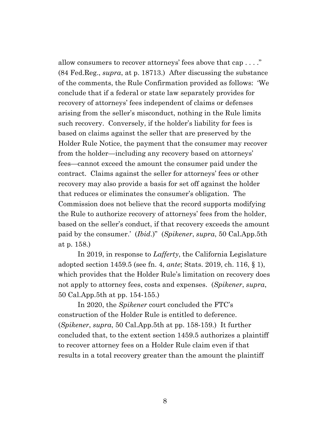allow consumers to recover attorneys' fees above that cap . . . ." (84 Fed.Reg., *supra*, at p. 18713.) After discussing the substance of the comments, the Rule Confirmation provided as follows: 'We conclude that if a federal or state law separately provides for recovery of attorneys' fees independent of claims or defenses arising from the seller's misconduct, nothing in the Rule limits such recovery. Conversely, if the holder's liability for fees is based on claims against the seller that are preserved by the Holder Rule Notice, the payment that the consumer may recover from the holder—including any recovery based on attorneys' fees—cannot exceed the amount the consumer paid under the contract. Claims against the seller for attorneys' fees or other recovery may also provide a basis for set off against the holder that reduces or eliminates the consumer's obligation. The Commission does not believe that the record supports modifying the Rule to authorize recovery of attorneys' fees from the holder, based on the seller's conduct, if that recovery exceeds the amount paid by the consumer.' (*Ibid*.)" (*Spikener*, *supra*, 50 Cal.App.5th at p. 158.)

In 2019, in response to *Lafferty*, the California Legislature adopted section 1459.5 (see fn. 4, *ante*; Stats. 2019, ch. 116, § 1), which provides that the Holder Rule's limitation on recovery does not apply to attorney fees, costs and expenses. (*Spikener*, *supra*, 50 Cal.App.5th at pp. 154-155.)

In 2020, the *Spikener* court concluded the FTC's construction of the Holder Rule is entitled to deference. (*Spikener*, *supra*, 50 Cal.App.5th at pp. 158-159.) It further concluded that, to the extent section 1459.5 authorizes a plaintiff to recover attorney fees on a Holder Rule claim even if that results in a total recovery greater than the amount the plaintiff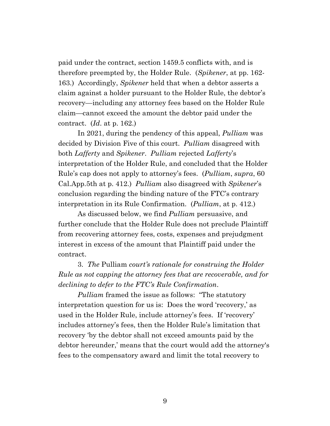paid under the contract, section 1459.5 conflicts with, and is therefore preempted by, the Holder Rule. (*Spikener*, at pp. 162- 163.) Accordingly, *Spikener* held that when a debtor asserts a claim against a holder pursuant to the Holder Rule, the debtor's recovery—including any attorney fees based on the Holder Rule claim—cannot exceed the amount the debtor paid under the contract. (*Id*. at p. 162.)

In 2021, during the pendency of this appeal, *Pulliam* was decided by Division Five of this court. *Pulliam* disagreed with both *Lafferty* and *Spikener*. *Pulliam* rejected *Lafferty*'s interpretation of the Holder Rule, and concluded that the Holder Rule's cap does not apply to attorney's fees. (*Pulliam*, *supra*, 60 Cal.App.5th at p. 412.) *Pulliam* also disagreed with *Spikener*'s conclusion regarding the binding nature of the FTC's contrary interpretation in its Rule Confirmation. (*Pulliam*, at p. 412.)

As discussed below, we find *Pulliam* persuasive, and further conclude that the Holder Rule does not preclude Plaintiff from recovering attorney fees, costs, expenses and prejudgment interest in excess of the amount that Plaintiff paid under the contract.

3. *The* Pulliam *court's rationale for construing the Holder Rule as not capping the attorney fees that are recoverable, and for declining to defer to the FTC's Rule Confirmation*.

*Pulliam* framed the issue as follows: "The statutory interpretation question for us is: Does the word 'recovery,' as used in the Holder Rule, include attorney's fees. If 'recovery' includes attorney's fees, then the Holder Rule's limitation that recovery 'by the debtor shall not exceed amounts paid by the debtor hereunder,' means that the court would add the attorney's fees to the compensatory award and limit the total recovery to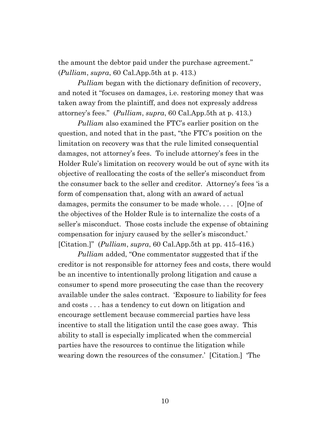the amount the debtor paid under the purchase agreement." (*Pulliam*, *supra*, 60 Cal.App.5th at p. 413.)

*Pulliam* began with the dictionary definition of recovery, and noted it "focuses on damages, i.e. restoring money that was taken away from the plaintiff, and does not expressly address attorney's fees." (*Pulliam*, *supra*, 60 Cal.App.5th at p. 413.)

*Pulliam* also examined the FTC's earlier position on the question, and noted that in the past, "the FTC's position on the limitation on recovery was that the rule limited consequential damages, not attorney's fees. To include attorney's fees in the Holder Rule's limitation on recovery would be out of sync with its objective of reallocating the costs of the seller's misconduct from the consumer back to the seller and creditor. Attorney's fees 'is a form of compensation that, along with an award of actual damages, permits the consumer to be made whole. . . . [O]ne of the objectives of the Holder Rule is to internalize the costs of a seller's misconduct. Those costs include the expense of obtaining compensation for injury caused by the seller's misconduct.' [Citation.]" (*Pulliam*, *supra*, 60 Cal.App.5th at pp. 415-416.)

*Pulliam* added, "One commentator suggested that if the creditor is not responsible for attorney fees and costs, there would be an incentive to intentionally prolong litigation and cause a consumer to spend more prosecuting the case than the recovery available under the sales contract. 'Exposure to liability for fees and costs . . . has a tendency to cut down on litigation and encourage settlement because commercial parties have less incentive to stall the litigation until the case goes away. This ability to stall is especially implicated when the commercial parties have the resources to continue the litigation while wearing down the resources of the consumer.' [Citation.] 'The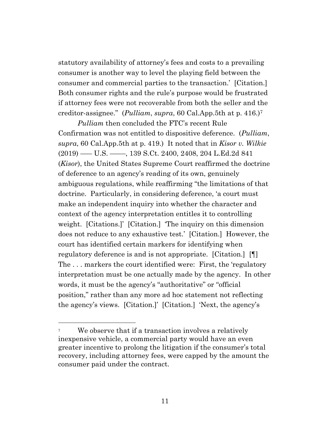statutory availability of attorney's fees and costs to a prevailing consumer is another way to level the playing field between the consumer and commercial parties to the transaction.' [Citation.] Both consumer rights and the rule's purpose would be frustrated if attorney fees were not recoverable from both the seller and the creditor-assignee." (*Pulliam*, *supra*, 60 Cal.App.5th at p. 416.)<sup>7</sup>

*Pulliam* then concluded the FTC's recent Rule Confirmation was not entitled to dispositive deference. (*Pulliam*, *supra*, 60 Cal.App.5th at p. 419.) It noted that in *Kisor v. Wilkie* (2019) ––– U.S. ––––, 139 S.Ct. 2400, 2408, 204 L.Ed.2d 841 (*Kisor*), the United States Supreme Court reaffirmed the doctrine of deference to an agency's reading of its own, genuinely ambiguous regulations, while reaffirming "the limitations of that doctrine. Particularly, in considering deference, 'a court must make an independent inquiry into whether the character and context of the agency interpretation entitles it to controlling weight. [Citations.]' [Citation.] 'The inquiry on this dimension does not reduce to any exhaustive test.' [Citation.] However, the court has identified certain markers for identifying when regulatory deference is and is not appropriate. [Citation.] [¶] The . . . markers the court identified were: First, the 'regulatory interpretation must be one actually made by the agency. In other words, it must be the agency's "authoritative" or "official position," rather than any more ad hoc statement not reflecting the agency's views. [Citation.]' [Citation.] 'Next, the agency's

<sup>&</sup>lt;sup>7</sup> We observe that if a transaction involves a relatively inexpensive vehicle, a commercial party would have an even greater incentive to prolong the litigation if the consumer's total recovery, including attorney fees, were capped by the amount the consumer paid under the contract.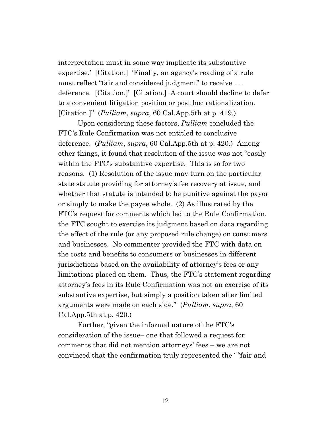interpretation must in some way implicate its substantive expertise.' [Citation.] 'Finally, an agency's reading of a rule must reflect "fair and considered judgment" to receive . . . deference. [Citation.]' [Citation.] A court should decline to defer to a convenient litigation position or post hoc rationalization. [Citation.]" (*Pulliam*, *supra*, 60 Cal.App.5th at p. 419.)

Upon considering these factors, *Pulliam* concluded the FTC's Rule Confirmation was not entitled to conclusive deference. (*Pulliam*, *supra*, 60 Cal.App.5th at p. 420.) Among other things, it found that resolution of the issue was not "easily within the FTC's substantive expertise. This is so for two reasons. (1) Resolution of the issue may turn on the particular state statute providing for attorney's fee recovery at issue, and whether that statute is intended to be punitive against the payor or simply to make the payee whole. (2) As illustrated by the FTC's request for comments which led to the Rule Confirmation, the FTC sought to exercise its judgment based on data regarding the effect of the rule (or any proposed rule change) on consumers and businesses. No commenter provided the FTC with data on the costs and benefits to consumers or businesses in different jurisdictions based on the availability of attorney's fees or any limitations placed on them. Thus, the FTC's statement regarding attorney's fees in its Rule Confirmation was not an exercise of its substantive expertise, but simply a position taken after limited arguments were made on each side." (*Pulliam*, *supra*, 60 Cal.App.5th at p. 420.)

Further, "given the informal nature of the FTC's consideration of the issue– one that followed a request for comments that did not mention attorneys' fees – we are not convinced that the confirmation truly represented the ' "fair and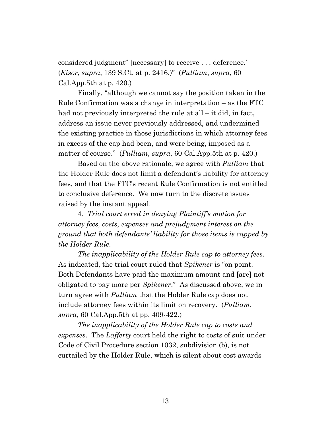considered judgment" [necessary] to receive . . . deference.' (*Kisor*, *supra*, 139 S.Ct. at p. 2416.)" (*Pulliam*, *supra*, 60 Cal.App.5th at p. 420.)

Finally, "although we cannot say the position taken in the Rule Confirmation was a change in interpretation – as the FTC had not previously interpreted the rule at all – it did, in fact, address an issue never previously addressed, and undermined the existing practice in those jurisdictions in which attorney fees in excess of the cap had been, and were being, imposed as a matter of course." (*Pulliam*, *supra*, 60 Cal.App.5th at p. 420.)

Based on the above rationale, we agree with *Pulliam* that the Holder Rule does not limit a defendant's liability for attorney fees, and that the FTC's recent Rule Confirmation is not entitled to conclusive deference. We now turn to the discrete issues raised by the instant appeal.

4. *Trial court erred in denying Plaintiff's motion for attorney fees, costs, expenses and prejudgment interest on the ground that both defendants' liability for those items is capped by the Holder Rule*.

*The inapplicability of the Holder Rule cap to attorney fees*. As indicated, the trial court ruled that *Spikener* is "on point. Both Defendants have paid the maximum amount and [are] not obligated to pay more per *Spikener*." As discussed above, we in turn agree with *Pulliam* that the Holder Rule cap does not include attorney fees within its limit on recovery. (*Pulliam*, *supra*, 60 Cal.App.5th at pp. 409-422.)

*The inapplicability of the Holder Rule cap to costs and expenses*. The *Lafferty* court held the right to costs of suit under Code of Civil Procedure section 1032, subdivision (b), is not curtailed by the Holder Rule, which is silent about cost awards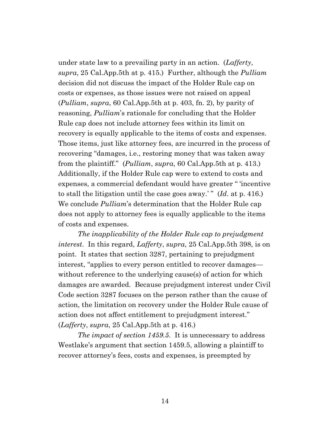under state law to a prevailing party in an action. (*Lafferty*, *supra*, 25 Cal.App.5th at p. 415.) Further, although the *Pulliam* decision did not discuss the impact of the Holder Rule cap on costs or expenses, as those issues were not raised on appeal (*Pulliam*, *supra*, 60 Cal.App.5th at p. 403, fn. 2), by parity of reasoning, *Pulliam*'s rationale for concluding that the Holder Rule cap does not include attorney fees within its limit on recovery is equally applicable to the items of costs and expenses. Those items, just like attorney fees, are incurred in the process of recovering "damages, i.e., restoring money that was taken away from the plaintiff." (*Pulliam*, *supra*, 60 Cal.App.5th at p. 413.) Additionally, if the Holder Rule cap were to extend to costs and expenses, a commercial defendant would have greater " 'incentive to stall the litigation until the case goes away.' " (*Id*. at p. 416.) We conclude *Pulliam*'s determination that the Holder Rule cap does not apply to attorney fees is equally applicable to the items of costs and expenses.

*The inapplicability of the Holder Rule cap to prejudgment interest*. In this regard, *Lafferty*, *supra*, 25 Cal.App.5th 398, is on point. It states that section 3287, pertaining to prejudgment interest, "applies to every person entitled to recover damages without reference to the underlying cause(s) of action for which damages are awarded. Because prejudgment interest under Civil Code section 3287 focuses on the person rather than the cause of action, the limitation on recovery under the Holder Rule cause of action does not affect entitlement to prejudgment interest." (*Lafferty*, *supra*, 25 Cal.App.5th at p. 416.)

*The impact of section 1459.5*. It is unnecessary to address Westlake's argument that section 1459.5, allowing a plaintiff to recover attorney's fees, costs and expenses, is preempted by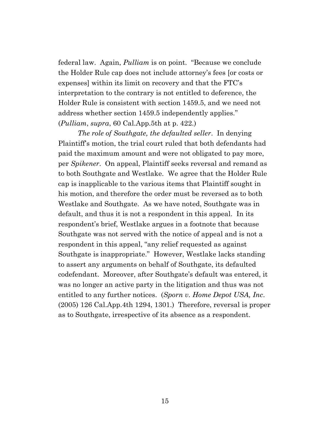federal law. Again, *Pulliam* is on point. "Because we conclude the Holder Rule cap does not include attorney's fees [or costs or expenses] within its limit on recovery and that the FTC's interpretation to the contrary is not entitled to deference, the Holder Rule is consistent with section 1459.5, and we need not address whether section 1459.5 independently applies." (*Pulliam*, *supra*, 60 Cal.App.5th at p. 422.)

*The role of Southgate, the defaulted seller*. In denying Plaintiff's motion, the trial court ruled that both defendants had paid the maximum amount and were not obligated to pay more, per *Spikener*. On appeal, Plaintiff seeks reversal and remand as to both Southgate and Westlake. We agree that the Holder Rule cap is inapplicable to the various items that Plaintiff sought in his motion, and therefore the order must be reversed as to both Westlake and Southgate. As we have noted, Southgate was in default, and thus it is not a respondent in this appeal. In its respondent's brief, Westlake argues in a footnote that because Southgate was not served with the notice of appeal and is not a respondent in this appeal, "any relief requested as against Southgate is inappropriate." However, Westlake lacks standing to assert any arguments on behalf of Southgate, its defaulted codefendant. Moreover, after Southgate's default was entered, it was no longer an active party in the litigation and thus was not entitled to any further notices. (*Sporn v. Home Depot USA, Inc*. (2005) 126 Cal.App.4th 1294, 1301.) Therefore, reversal is proper as to Southgate, irrespective of its absence as a respondent.